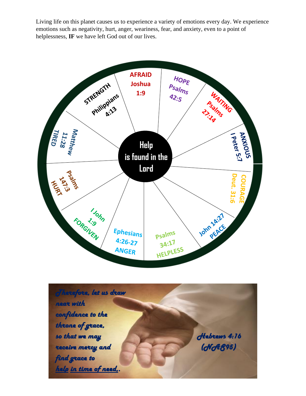Living life on this planet causes us to experience a variety of emotions every day. We experience emotions such as negativity, hurt, anger, weariness, fear, and anxiety, even to a point of helplessness, **IF** we have left God out of our lives.



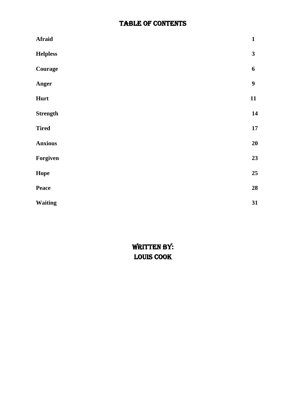## TABLE OF CONTENTS

| <b>Afraid</b>   | $\mathbf{1}$            |
|-----------------|-------------------------|
| <b>Helpless</b> | $\overline{\mathbf{3}}$ |
| Courage         | 6                       |
| Anger           | $\boldsymbol{9}$        |
| Hurt            | 11                      |
| <b>Strength</b> | 14                      |
| <b>Tired</b>    | 17                      |
| <b>Anxious</b>  | 20                      |
| Forgiven        | 23                      |
| Hope            | 25                      |
| Peace           | 28                      |
| <b>Waiting</b>  | 31                      |

WRITTEN BY: Louis Cook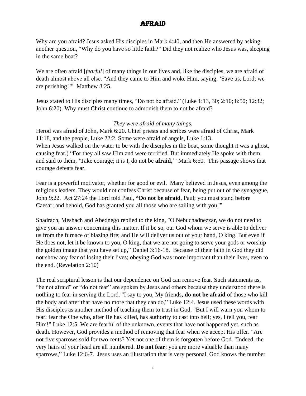## **AFRAID**

Why are you afraid? Jesus asked His disciples in Mark 4:40, and then He answered by asking another question, "Why do you have so little faith?" Did they not realize who Jesus was, sleeping in the same boat?

We are often afraid [*fearful*] of many things in our lives and, like the disciples, we are afraid of death almost above all else. "And they came to Him and woke Him, saying, 'Save us, Lord; we are perishing!'" Matthew 8:25.

Jesus stated to His disciples many times, "Do not be afraid." (Luke 1:13, 30; 2:10; 8:50; 12:32; John 6:20). Why must Christ continue to admonish them to not be afraid?

#### *They were afraid of many things.*

Herod was afraid of John, Mark 6:20. Chief priests and scribes were afraid of Christ, Mark 11:18, and the people, Luke 22:2. Some were afraid of angels, Luke 1:13. When Jesus walked on the water to be with the disciples in the boat, some thought it was a ghost, causing fear,) "For they all saw Him and were terrified. But immediately He spoke with them and said to them, 'Take courage; it is I, do not be **afraid**,'" Mark 6:50. This passage shows that courage defeats fear.

Fear is a powerful motivator, whether for good or evil. Many believed in Jesus, even among the religious leaders. They would not confess Christ because of fear, being put out of the synagogue, John 9:22. Act 27:24 the Lord told Paul, **"Do not be afraid**, Paul; you must stand before Caesar; and behold, God has granted you all those who are sailing with you.'"

Shadrach, Meshach and Abednego replied to the king, "O Nebuchadnezzar, we do not need to give you an answer concerning this matter. If it be so, our God whom we serve is able to deliver us from the furnace of blazing fire; and He will deliver us out of your hand, O king. But even if He does not, let it be known to you, O king, that we are not going to serve your gods or worship the golden image that you have set up," Daniel 3:16-18. Because of their faith in God they did not show any fear of losing their lives; obeying God was more important than their lives, even to the end. (Revelation 2:10)

The real scriptural lesson is that our dependence on God can remove fear. Such statements as, "be not afraid" or "do not fear" are spoken by Jesus and others because they understood there is nothing to fear in serving the Lord. "I say to you, My friends**, do not be afraid** of those who kill the body and after that have no more that they can do," Luke 12:4. Jesus used these words with His disciples as another method of teaching them to trust in God. "But I will warn you whom to fear: fear the One who, after He has killed, has authority to cast into hell; yes, I tell you, fear Him!" Luke 12:5. We are fearful of the unknown, events that have not happened yet, such as death. However, God provides a method of removing that fear when we accept His offer. "Are not five sparrows sold for two cents? Yet not one of them is forgotten before God. "Indeed, the very hairs of your head are all numbered. **Do not fear**; you are more valuable than many sparrows," Luke 12:6-7. Jesus uses an illustration that is very personal, God knows the number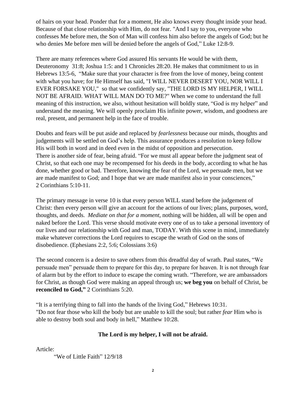of hairs on your head. Ponder that for a moment, He also knows every thought inside your head. Because of that close relationship with Him, do not fear. "And I say to you, everyone who confesses Me before men, the Son of Man will confess him also before the angels of God; but he who denies Me before men will be denied before the angels of God," Luke 12:8-9.

There are many references where God assured His servants He would be with them, Deuteronomy 31:8; Joshua 1:5: and 1 Chronicles 28:20. He makes that commitment to us in Hebrews 13:5-6, "Make sure that your character is free from the love of money, being content with what you have; for He Himself has said, "I WILL NEVER DESERT YOU, NOR WILL I EVER FORSAKE YOU," so that we confidently say, "THE LORD IS MY HELPER, I WILL NOT BE AFRAID. WHAT WILL MAN DO TO ME?" When we come to understand the full meaning of this instruction, we also, without hesitation will boldly state, "God is my helper" and understand the meaning. We will openly proclaim His infinite power, wisdom, and goodness are real, present, and permanent help in the face of trouble.

Doubts and fears will be put aside and replaced by *fearlessness* because our minds, thoughts and judgements will be settled on God's help. This assurance produces a resolution to keep follow His will both in word and in deed even in the midst of opposition and persecution. There is another side of fear, being afraid. "For we must all appear before the judgment seat of Christ, so that each one may be recompensed for his deeds in the body, according to what he has done, whether good or bad. Therefore, knowing the fear of the Lord, we persuade men, but we are made manifest to God; and I hope that we are made manifest also in your consciences," 2 Corinthians 5:10-11.

The primary message in verse 10 is that every person WILL stand before the judgement of Christ: then every person will give an account for the actions of our lives; plans, purposes, word, thoughts, and deeds. *Mediate on that for a moment*, nothing will be hidden, all will be open and naked before the Lord. This verse should motivate every one of us to take a personal inventory of our lives and our relationship with God and man, TODAY. With this scene in mind, immediately make whatever corrections the Lord requires to escape the wrath of God on the sons of disobedience. (Ephesians 2:2, 5:6; Colossians 3:6)

The second concern is a desire to save others from this dreadful day of wrath. Paul states, "We persuade men" persuade them to prepare for this day, to prepare for heaven. It is not through fear of alarm but by the effort to induce to escape the coming wrath. "Therefore, we are ambassadors for Christ, as though God were making an appeal through us; **we beg you** on behalf of Christ, be **reconciled to God,"** 2 Corinthians 5:20.

"It is a terrifying thing to fall into the hands of the living God," Hebrews 10:31. "Do not fear those who kill the body but are unable to kill the soul; but rather *fear* Him who is able to destroy both soul and body in hell," Matthew 10:28.

#### **The Lord is my helper, I will not be afraid.**

Article:

"We of Little Faith" 12/9/18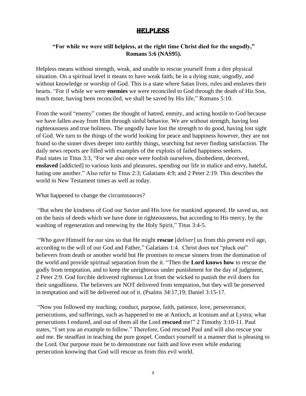## Helpless

#### **"For while we were still helpless, at the right time Christ died for the ungodly," Romans 5:6 (NAS95).**

Helpless means without strength, weak, and unable to rescue yourself from a dire physical situation. On a spiritual level it means to have weak faith, be in a dying state, ungodly, and without knowledge or worship of God. This is a state where Satan lives, rules and enslaves their hearts. "For if while we were **enemies** we were reconciled to God through the death of His Son, much more, having been reconciled, we shall be saved by His life," Romans 5:10.

From the word "enemy" comes the thought of hatred, enmity, and acting hostile to God because we have fallen away from Him through sinful behavior. We are without strength, having lost righteousness and true holiness. The ungodly have lost the strength to do good, having lost sight of God. We turn to the things of the world looking for peace and happiness however, they are not found so the sinner dives deeper into earthly things, searching but never finding satisfaction. The daily news reports are filled with examples of the exploits of failed happiness seekers. Paul states in Titus 3:3, "For we also once were foolish ourselves, disobedient, deceived, **enslaved** [addicted] to various lusts and pleasures, spending our life in malice and envy, hateful, hating one another." Also refer to Titus 2:3; Galatians 4:9; and 2 Peter 2:19. This describes the world in New Testament times as well as today.

What happened to change the circumstances?

"But when the kindness of God our Savior and His love for mankind appeared, He saved us, not on the basis of deeds which we have done in righteousness, but according to His mercy, by the washing of regeneration and renewing by the Holy Spirit," Titus 3:4-5.

"Who gave Himself for our sins so that He might **rescue** [*deliver*] us from this present evil age, according to the will of our God and Father," Galatians 1:4. Christ does not "pluck out" believers from death or another world but He promises to rescue sinners from the domination of the world and provide spiritual separation from the it. "Then the **Lord knows how** to rescue the godly from temptation, and to keep the unrighteous under punishment for the day of judgment, 2 Peter 2:9. God forcible delivered righteous Lot from the wicked to punish the evil doers for their ungodliness. The believers are NOT delivered from temptation, but they will be preserved in temptation and will be delivered out of it. (Psalms 34:17,19; Daniel 3:15-17.

"Now you followed my teaching, conduct, purpose, faith, patience, love, perseverance, persecutions, and sufferings, such as happened to me at Antioch, at Iconium and at Lystra; what persecutions I endured, and out of them all the Lord **rescued** me!" 2 Timothy 3:10-11. Paul states, "I set you an example to follow." Therefore, God rescued Paul and will also rescue you and me. Be steadfast in teaching the pure gospel. Conduct yourself in a manner that is pleasing to the Lord. Our purpose must be to demonstrate our faith and love even while enduring persecution knowing that God will rescue us from this evil world.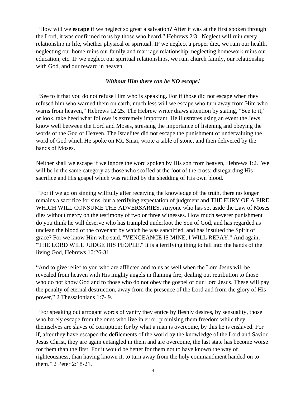"How will we **escape** if we neglect so great a salvation? After it was at the first spoken through the Lord, it was confirmed to us by those who heard," Hebrews 2:3. Neglect will ruin every relationship in life, whether physical or spiritual. IF we neglect a proper diet, we ruin our health, neglecting our home ruins our family and marriage relationship, neglecting homework ruins our education, etc. IF we neglect our spiritual relationships, we ruin church family, our relationship with God, and our reward in heaven.

#### *Without Him there can be NO escape!*

"See to it that you do not refuse Him who is speaking. For if those did not escape when they refused him who warned them on earth, much less will we escape who turn away from Him who warns from heaven," Hebrews 12:25. The Hebrew writer draws attention by stating, "See to it," or look, take heed what follows is extremely important. He illustrates using an event the Jews know well between the Lord and Moses, stressing the importance of listening and obeying the words of the God of Heaven. The Israelites did not escape the punishment of undervaluing the word of God which He spoke on Mt. Sinai, wrote a table of stone, and then delivered by the hands of Moses.

Neither shall we escape if we ignore the word spoken by His son from heaven, Hebrews 1:2. We will be in the same category as those who scoffed at the foot of the cross; disregarding His sacrifice and His gospel which was ratified by the shedding of His own blood.

"For if we go on sinning willfully after receiving the knowledge of the truth, there no longer remains a sacrifice for sins, but a terrifying expectation of judgment and THE FURY OF A FIRE WHICH WILL CONSUME THE ADVERSARIES. Anyone who has set aside the Law of Moses dies without mercy on the testimony of two or three witnesses. How much severer punishment do you think he will deserve who has trampled underfoot the Son of God, and has regarded as unclean the blood of the covenant by which he was sanctified, and has insulted the Spirit of grace? For we know Him who said, "VENGEANCE IS MINE, I WILL REPAY." And again, "THE LORD WILL JUDGE HIS PEOPLE." It is a terrifying thing to fall into the hands of the living God, Hebrews 10:26-31.

"And to give relief to you who are afflicted and to us as well when the Lord Jesus will be revealed from heaven with His mighty angels in flaming fire, dealing out retribution to those who do not know God and to those who do not obey the gospel of our Lord Jesus. These will pay the penalty of eternal destruction, away from the presence of the Lord and from the glory of His power," 2 Thessalonians 1:7- 9.

"For speaking out arrogant words of vanity they entice by fleshly desires, by sensuality, those who barely escape from the ones who live in error, promising them freedom while they themselves are slaves of corruption; for by what a man is overcome, by this he is enslaved. For if, after they have escaped the defilements of the world by the knowledge of the Lord and Savior Jesus Christ, they are again entangled in them and are overcome, the last state has become worse for them than the first. For it would be better for them not to have known the way of righteousness, than having known it, to turn away from the holy commandment handed on to them." 2 Peter 2:18-21.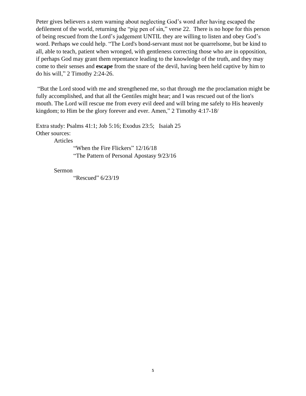Peter gives believers a stern warning about neglecting God's word after having escaped the defilement of the world, returning the "pig pen of sin," verse 22. There is no hope for this person of being rescued from the Lord's judgement UNTIL they are willing to listen and obey God's word. Perhaps we could help. "The Lord's bond-servant must not be quarrelsome, but be kind to all, able to teach, patient when wronged, with gentleness correcting those who are in opposition, if perhaps God may grant them repentance leading to the knowledge of the truth, and they may come to their senses and **escape** from the snare of the devil, having been held captive by him to do his will," 2 Timothy 2:24-26.

"But the Lord stood with me and strengthened me, so that through me the proclamation might be fully accomplished, and that all the Gentiles might hear; and I was rescued out of the lion's mouth. The Lord will rescue me from every evil deed and will bring me safely to His heavenly kingdom; to Him be the glory forever and ever. Amen," 2 Timothy 4:17-18/

Extra study: Psalms 41:1; Job 5:16; Exodus 23:5; Isaiah 25 Other sources:

Articles

"When the Fire Flickers" 12/16/18 "The Pattern of Personal Apostasy 9/23/16

Sermon

"Rescued" 6/23/19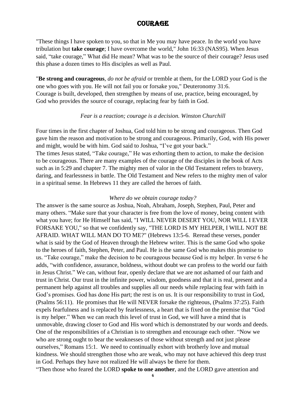## **COURAGE**

"These things I have spoken to you, so that in Me you may have peace. In the world you have tribulation but **take courage**; I have overcome the world," John 16:33 (NAS95). When Jesus said, "take courage," What did He mean? What was to be the source of their courage? Jesus used this phase a dozen times to His disciples as well as Paul.

"**Be strong and courageous**, *do not be afraid* or tremble at them, for the LORD your God is the one who goes with you. He will not fail you or forsake you," Deuteronomy 31:6. Courage is built, developed, then strengthen by means of use, practice, being encouraged, by God who provides the source of courage, replacing fear by faith in God.

#### *Fear is a reaction; courage is a decision. Winston Churchill*

Four times in the first chapter of Joshua, God told him to be strong and courageous. Then God gave him the reason and motivation to be strong and courageous. Primarily, God, with His power and might, would be with him. God said to Joshua, "I've got your back."

The times Jesus stated, "Take courage," He was exhorting them to action, to make the decision to be courageous. There are many examples of the courage of the disciples in the book of Acts such as in 5:29 and chapter 7. The mighty men of valor in the Old Testament refers to bravery, daring, and fearlessness in battle. The Old Testament and New refers to the mighty men of valor in a spiritual sense. In Hebrews 11 they are called the heroes of faith.

#### *Where do we obtain courage today?*

The answer is the same source as Joshua, Noah, Abraham, Joseph, Stephen, Paul, Peter and many others. "Make sure that your character is free from the love of money, being content with what you have; for He Himself has said, "I WILL NEVER DESERT YOU, NOR WILL I EVER FORSAKE YOU," so that we confidently say, "THE LORD IS MY HELPER, I WILL NOT BE AFRAID. WHAT WILL MAN DO TO ME?" (Hebrews 13:5-6. Reread these verses, ponder what is said by the God of Heaven through the Hebrew writer. This is the same God who spoke to the heroes of faith, Stephen, Peter, and Paul. He is the same God who makes this promise to us. "Take courage," make the decision to be courageous because God is my helper. In verse 6 he adds, "with confidence, assurance, boldness, without doubt we can profess to the world our faith in Jesus Christ." We can, without fear, openly declare that we are not ashamed of our faith and trust in Christ. Our trust in the infinite power, wisdom, goodness and that it is real, present and a permanent help against all troubles and supplies all our needs while replacing fear with faith in God's promises. God has done His part; the rest is on us. It is our responsibility to trust in God, (Psalms 56:11). He promises that He will NEVER forsake the righteous, (Psalms 37:25). Faith expels fearfulness and is replaced by fearlessness, a heart that is fixed on the premise that "God is my helper." When we can reach this level of trust in God, we will have a mind that is unmovable, drawing closer to God and His word which is demonstrated by our words and deeds. One of the responsibilities of a Christian is to strengthen and encourage each other. "Now we who are strong ought to bear the weaknesses of those without strength and not just please ourselves," Romans 15:1. We need to continually exhort with brotherly love and mutual kindness. We should strengthen those who are weak, who may not have achieved this deep trust in God. Perhaps they have not realized He will always be there for them. "Then those who feared the LORD **spoke to one another**, and the LORD gave attention and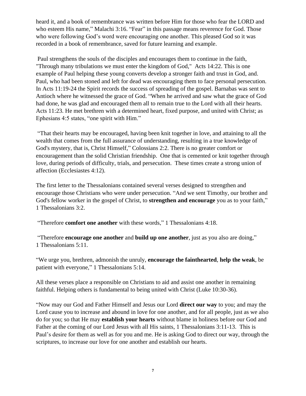heard it, and a book of remembrance was written before Him for those who fear the LORD and who esteem His name," Malachi 3:16. "Fear" in this passage means reverence for God. Those who were following God's word were encouraging one another. This pleased God so it was recorded in a book of remembrance, saved for future learning and example.

Paul strengthens the souls of the disciples and encourages them to continue in the faith, "Through many tribulations we must enter the kingdom of God," Acts 14:22. This is one example of Paul helping these young converts develop a stronger faith and trust in God, and. Paul, who had been stoned and left for dead was encouraging them to face personal persecution. In Acts 11:19-24 the Spirit records the success of spreading of the gospel. Barnabas was sent to Antioch where he witnessed the grace of God. "When he arrived and saw what the grace of God had done, he was glad and encouraged them all to remain true to the Lord with all their hearts. Acts 11:23. He met brethren with a determined heart, fixed purpose, and united with Christ; as Ephesians 4:5 states, "one spirit with Him."

"That their hearts may be encouraged, having been knit together in love, and attaining to all the wealth that comes from the full assurance of understanding, resulting in a true knowledge of God's mystery, that is, Christ Himself," Colossians 2:2. There is no greater comfort or encouragement than the solid Christian friendship. One that is cemented or knit together through love, during periods of difficulty, trials, and persecution. These times create a strong union of affection (Ecclesiastes 4:12).

The first letter to the Thessalonians contained several verses designed to strengthen and encourage those Christians who were under persecution. "And we sent Timothy, our brother and God's fellow worker in the gospel of Christ, to **strengthen and encourage** you as to your faith," 1 Thessalonians 3:2.

"Therefore **comfort one another** with these words," 1 Thessalonians 4:18.

"Therefore **encourage one another** and **build up one another**, just as you also are doing," 1 Thessalonians 5:11.

"We urge you, brethren, admonish the unruly, **encourage the fainthearted**, **help the weak**, be patient with everyone," 1 Thessalonians 5:14.

All these verses place a responsible on Christians to aid and assist one another in remaining faithful. Helping others is fundamental to being united with Christ (Luke 10:30-36).

"Now may our God and Father Himself and Jesus our Lord **direct our way** to you; and may the Lord cause you to increase and abound in love for one another, and for all people, just as we also do for you; so that He may **establish your hearts** without blame in holiness before our God and Father at the coming of our Lord Jesus with all His saints, 1 Thessalonians 3:11-13. This is Paul's desire for them as well as for you and me. He is asking God to direct our way, through the scriptures, to increase our love for one another and establish our hearts.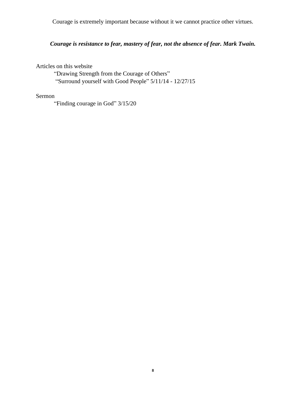Courage is extremely important because without it we cannot practice other virtues.

## *Courage is resistance to fear, mastery of fear, not the absence of fear. Mark Twain.*

Articles on this website

"Drawing Strength from the Courage of Others" "Surround yourself with Good People" 5/11/14 - 12/27/15

#### Sermon

"Finding courage in God" 3/15/20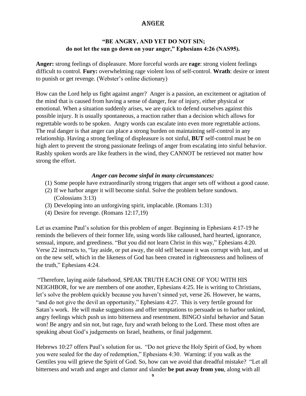## Anger

#### **"BE ANGRY, AND YET DO NOT SIN; do not let the sun go down on your anger," Ephesians 4:26 (NAS95).**

**Anger:** strong feelings of displeasure. More forceful words are **rage**: strong violent feelings difficult to control*.* **Fury:** overwhelming rage violent loss of self-control. **Wrath**: desire or intent to punish or get revenge. (Webster's online dictionary)

How can the Lord help us fight against anger? Anger is a passion, an excitement or agitation of the mind that is caused from having a sense of danger, fear of injury, either physical or emotional. When a situation suddenly arises, we are quick to defend ourselves against this possible injury. It is usually spontaneous, a reaction rather than a decision which allows for regrettable words to be spoken. Angry words can escalate into even more regrettable actions. The real danger is that anger can place a strong burden on maintaining self-control in any relationship. Having a strong feeling of displeasure is not sinful, **BUT** self-control must be on high alert to prevent the strong passionate feelings of anger from escalating into sinful behavior. Rashly spoken words are like feathers in the wind, they CANNOT be retrieved not matter how strong the effort.

#### *Anger can become sinful in many circumstances:*

- (1) Some people have extraordinarily strong triggers that anger sets off without a good cause.
- (2) If we harbor anger it will become sinful. Solve the problem before sundown. (Colossians 3:13)
- (3) Developing into an unforgiving spirit, implacable. (Romans 1:31)
- (4) Desire for revenge. (Romans 12:17,19)

Let us examine Paul's solution for this problem of anger. Beginning in Ephesians 4:17-19 he reminds the believers of their former life, using words like calloused, hard hearted, ignorance, sensual, impure, and greediness. "But you did not learn Christ in this way," Ephesians 4:20. Verse 22 instructs to, "lay aside, or put away, the old self because it was corrupt with lust, and ut on the new self, which in the likeness of God has been created in righteousness and holiness of the truth," Ephesians 4:24.

"Therefore, laying aside falsehood, SPEAK TRUTH EACH ONE OF YOU WITH HIS NEIGHBOR, for we are members of one another, Ephesians 4:25. He is writing to Christians, let's solve the problem quickly because you haven't sinned yet, verse 26. However, he warns, "and do not give the devil an opportunity," Ephesians 4:27*.* This is very fertile ground for Satan's work. He will make suggestions and offer temptations to persuade us to harbor unkind, angry feelings which push us into bitterness and resentment. BINGO sinful behavior and Satan won! Be angry and sin not, but rage, fury and wrath belong to the Lord. These most often are speaking about God's judgements on Israel, heathens, or final judgement.

Hebrews 10:27 offers Paul's solution for us. "Do not grieve the Holy Spirit of God, by whom you were sealed for the day of redemption," Ephesians 4:30. Warning: if you walk as the Gentiles you will grieve the Spirit of God. So, how can we avoid that dreadful mistake? "Let all bitterness and wrath and anger and clamor and slander **be put away from you**, along with all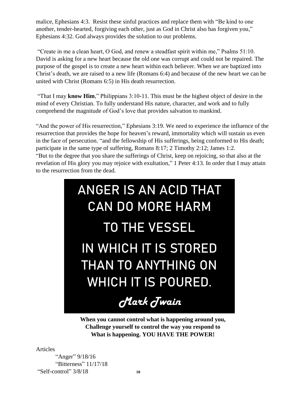malice, Ephesians 4:3.Resist these sinful practices and replace them with "Be kind to one another, tender-hearted, forgiving each other, just as God in Christ also has forgiven you," Ephesians 4:32. God always provides the solution to our problems.

"Create in me a clean heart, O God, and renew a steadfast spirit within me," Psalms 51:10. David is asking for a new heart because the old one was corrupt and could not be repaired. The purpose of the gospel is to create a new heart within each believer. When we are baptized into Christ's death, we are raised to a new life (Romans 6:4) and because of the new heart we can be united with Christ (Romans 6:5) in His death resurrection.

"That I may **know Him**," Philippians 3:10-11. This must be the highest object of desire in the mind of every Christian. To fully understand His nature, character, and work and to fully comprehend the magnitude of God's love that provides salvation to mankind.

"And the power of His resurrection," Ephesians 3:19. We need to experience the influence of the resurrection that provides the hope for heaven's reward, immortality which will sustain us even in the face of persecution. "and the fellowship of His sufferings, being conformed to His death; participate in the same type of suffering, Romans 8:17; 2 Timothy 2:12; James 1:2. "But to the degree that you share the sufferings of Christ, keep on rejoicing, so that also at the revelation of His glory you may rejoice with exultation," 1 Peter 4:13. In order that I may attain to the resurrection from the dead.



**When you cannot control what is happening around you, Challenge yourself to control the way you respond to What is happening. YOU HAVE THE POWER!**

Articles

"Anger" 9/18/16 "Bitterness" 11/17/18 "Self-control" 3/8/18 **<sup>10</sup>**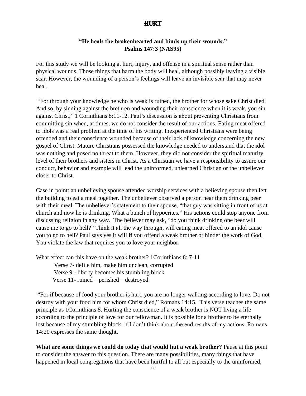## **HURT**

#### **"He heals the brokenhearted and binds up their wounds." Psalms 147:3 (NAS95)**

For this study we will be looking at hurt, injury, and offense in a spiritual sense rather than physical wounds. Those things that harm the body will heal, although possibly leaving a visible scar. However, the wounding of a person's feelings will leave an invisible scar that may never heal.

"For through your knowledge he who is weak is ruined, the brother for whose sake Christ died. And so, by sinning against the brethren and wounding their conscience when it is weak, you sin against Christ," 1 Corinthians 8:11-12. Paul's discussion is about preventing Christians from committing sin when, at times, we do not consider the result of our actions. Eating meat offered to idols was a real problem at the time of his writing. Inexperienced Christians were being offended and their conscience wounded because of their lack of knowledge concerning the new gospel of Christ. Mature Christians possessed the knowledge needed to understand that the idol was nothing and posed no threat to them. However, they did not consider the spiritual maturity level of their brothers and sisters in Christ. As a Christian we have a responsibility to assure our conduct, behavior and example will lead the uninformed, unlearned Christian or the unbeliever closer to Christ.

Case in point: an unbelieving spouse attended worship services with a believing spouse then left the building to eat a meal together. The unbeliever observed a person near them drinking beer with their meal. The unbeliever's statement to their spouse, "that guy was sitting in front of us at church and now he is drinking. What a bunch of hypocrites." His actions could stop anyone from discussing religion in any way. The believer may ask, "do you think drinking one beer will cause me to go to hell?" Think it all the way through, will eating meat offered to an idol cause you to go to hell? Paul says yes it will **if** you offend a weak brother or hinder the work of God. You violate the law that requires you to love your neighbor.

What effect can this have on the weak brother? 1Corinthians 8: 7-11 Verse 7- defile him, make him unclean, corrupted Verse 9 - liberty becomes his stumbling block Verse 11- ruined – perished – destroyed

"For if because of food your brother is hurt, you are no longer walking according to love. Do not destroy with your food him for whom Christ died," Romans 14:15. This verse teaches the same principle as 1Corinthians 8. Hurting the conscience of a weak brother is NOT living a life according to the principle of love for our fellowman. It is possible for a brother to be eternally lost because of my stumbling block, if I don't think about the end results of my actions. Romans 14:20 expresses the same thought.

**What are some things we could do today that would hut a weak brother?** Pause at this point to consider the answer to this question. There are many possibilities, many things that have happened in local congregations that have been hurtful to all but especially to the uninformed,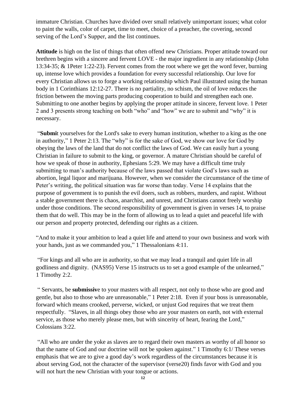immature Christian. Churches have divided over small relatively unimportant issues; what color to paint the walls, color of carpet, time to meet, choice of a preacher, the covering, second serving of the Lord's Supper, and the list continues.

**Attitude** is high on the list of things that often offend new Christians. Proper attitude toward our brethren begins with a sincere and fervent LOVE - the major ingredient in any relationship (John 13:34-35; & 1Peter 1:22-23). Fervent comes from the root where we get the word fever, burning up, intense love which provides a foundation for every successful relationship. Our love for every Christian allows us to forge a working relationship which Paul illustrated using the human body in 1 Corinthians 12:12-27. There is no partiality, no schism, the oil of love reduces the friction between the moving parts producing cooperation to build and strengthen each one. Submitting to one another begins by applying the proper attitude in sincere, fervent love. 1 Peter 2 and 3 presents strong teaching on both "who" and "how" we are to submit and "why" it is necessary.

"**Submi**t yourselves for the Lord's sake to every human institution, whether to a king as the one in authority," 1 Peter 2:13. The "why" is for the sake of God, we show our love for God by obeying the laws of the land that do not conflict the laws of God. We can easily hurt a young Christian in failure to submit to the king, or governor. A mature Christian should be careful of how we speak of those in authority, Ephesians 5:29. We may have a difficult time truly submitting to man's authority because of the laws passed that violate God's laws such as abortion, legal liquor and marijuana. However, when we consider the circumstance of the time of Peter's writing, the political situation was far worse than today. Verse 14 explains that the purpose of government is to punish the evil doers, such as robbers, murders, and rapist. Without a stable government there is chaos, anarchist, and unrest, and Christians cannot freely worship under those conditions. The second responsibility of government is given in verses 14, to praise them that do well. This may be in the form of allowing us to lead a quiet and peaceful life with our person and property protected, defending our rights as a citizen.

"And to make it your ambition to lead a quiet life and attend to your own business and work with your hands, just as we commanded you," 1 Thessalonians 4:11.

"For kings and all who are in authority, so that we may lead a tranquil and quiet life in all godliness and dignity. (NAS95) Verse 15 instructs us to set a good example of the unlearned," 1 Timothy 2:2.

" Servants, be **submissiv**e to your masters with all respect, not only to those who are good and gentle, but also to those who are unreasonable," 1 Peter 2:18. Even if your boss is unreasonable, forward which means crooked, perverse, wicked, or unjust God requires that we treat them respectfully. "Slaves, in all things obey those who are your masters on earth, not with external service, as those who merely please men, but with sincerity of heart, fearing the Lord," Colossians 3:22.

"All who are under the yoke as slaves are to regard their own masters as worthy of all honor so that the name of God and our doctrine will not be spoken against." 1 Timothy 6:1/ These verses emphasis that we are to give a good day's work regardless of the circumstances because it is about serving God, not the character of the supervisor (verse20) finds favor with God and you will not hurt the new Christian with your tongue or actions.  $\frac{1}{12}$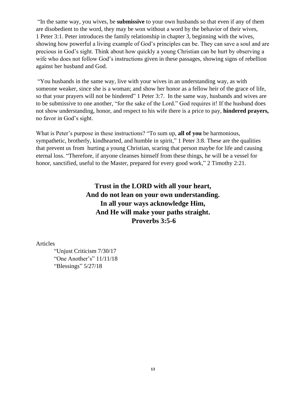"In the same way, you wives, be **submissive** to your own husbands so that even if any of them are disobedient to the word, they may be won without a word by the behavior of their wives, 1 Peter 3:1. Peter introduces the family relationship in chapter 3, beginning with the wives, showing how powerful a living example of God's principles can be. They can save a soul and are precious in God's sight. Think about how quickly a young Christian can be hurt by observing a wife who does not follow God's instructions given in these passages, showing signs of rebellion against her husband and God.

"You husbands in the same way, live with your wives in an understanding way, as with someone weaker, since she is a woman; and show her honor as a fellow heir of the grace of life, so that your prayers will not be hindered" 1 Peter 3:7. In the same way, husbands and wives are to be submissive to one another, "for the sake of the Lord." God requires it! If the husband does not show understanding, honor, and respect to his wife there is a price to pay, **hindered prayers,**  no favor in God's sight.

What is Peter's purpose in these instructions? "To sum up, **all of you** be harmonious, sympathetic, brotherly, kindhearted, and humble in spirit," 1 Peter 3:8. These are the qualities that prevent us from hurting a young Christian, scaring that person maybe for life and causing eternal loss. "Therefore, if anyone cleanses himself from these things, he will be a vessel for honor, sanctified, useful to the Master, prepared for every good work," 2 Timothy 2:21.

> **Trust in the LORD with all your heart, And do not lean on your own understanding. In all your ways acknowledge Him, And He will make your paths straight. Proverbs 3:5-6**

Articles

"Unjust Criticism 7/30/17 "One Another's" 11/11/18 "Blessings" 5/27/18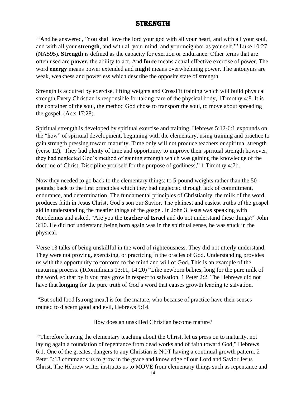## **STRENGTH**

"And he answered, 'You shall love the lord your god with all your heart, and with all your soul, and with all your **strength**, and with all your mind; and your neighbor as yourself,'" Luke 10:27 (NAS95). **Strength** is defined as the capacity for exertion or endurance. Other terms that are often used are **power,** the ability to act. And **force** means actual effective exercise of power. The word **energy** means power extended and **might** means overwhelming power. The antonyms are weak, weakness and powerless which describe the opposite state of strength.

Strength is acquired by exercise, lifting weights and CrossFit training which will build physical strength Every Christian is responsible for taking care of the physical body, 1Timothy 4:8. It is the container of the soul, the method God chose to transport the soul, to move about spreading the gospel. (Acts 17:28).

Spiritual strength is developed by spiritual exercise and training. Hebrews 5:12-6:1 expounds on the "how" of spiritual development, beginning with the elementary, using training and practice to gain strength pressing toward maturity. Time only will not produce teachers or spiritual strength (verse 12). They had plenty of time and opportunity to improve their spiritual strength however, they had neglected God's method of gaining strength which was gaining the knowledge of the doctrine of Christ. Discipline yourself for the purpose of godliness," 1 Timothy 4:7b.

Now they needed to go back to the elementary things: to 5-pound weights rather than the 50 pounds; back to the first principles which they had neglected through lack of commitment, endurance, and determination. The fundamental principles of Christianity, the milk of the word, produces faith in Jesus Christ, God's son our Savior. The plainest and easiest truths of the gospel aid in understanding the meatier things of the gospel. In John 3 Jesus was speaking with Nicodemus and asked, "Are you the **teacher of Israel** and do not understand these things?" John 3:10. He did not understand being born again was in the spiritual sense, he was stuck in the physical.

Verse 13 talks of being unskillful in the word of righteousness. They did not utterly understand. They were not proving, exercising, or practicing in the oracles of God. Understanding provides us with the opportunity to conform to the mind and will of God. This is an example of the maturing process. (1Corinthians 13:11, 14:20) "Like newborn babies, long for the pure milk of the word, so that by it you may grow in respect to salvation, 1 Peter 2:2. The Hebrews did not have that **longing** for the pure truth of God's word that causes growth leading to salvation.

"But solid food [strong meat] is for the mature, who because of practice have their senses trained to discern good and evil, Hebrews 5:14.

How does an unskilled Christian become mature?

"Therefore leaving the elementary teaching about the Christ, let us press on to maturity, not laying again a foundation of repentance from dead works and of faith toward God," Hebrews 6:1. One of the greatest dangers to any Christian is NOT having a continual growth pattern. 2 Peter 3:18 commands us to grow in the grace and knowledge of our Lord and Savior Jesus Christ. The Hebrew writer instructs us to MOVE from elementary things such as repentance and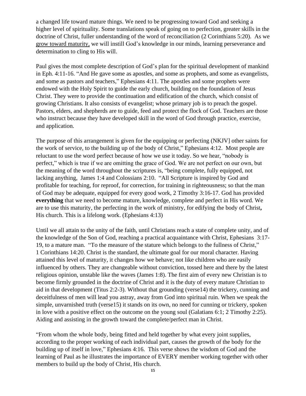a changed life toward mature things. We need to be progressing toward God and seeking a higher level of spirituality. Some translations speak of going on to perfection, greater skills in the doctrine of Christ, fuller understanding of the word of reconciliation (2 Corinthians 5:20). As we grow toward maturity, we will instill God's knowledge in our minds, learning perseverance and determination to cling to His will.

Paul gives the most complete description of God's plan for the spiritual development of mankind in Eph. 4:11-16. "And He gave some as apostles, and some as prophets, and some as evangelists, and some as pastors and teachers," Ephesians 4:11. The apostles and some prophets were endowed with the Holy Spirit to guide the early church, building on the foundation of Jesus Christ. They were to provide the continuation and edification of the church, which consist of growing Christians. It also consists of evangelist; whose primary job is to preach the gospel. Pastors, elders, and shepherds are to guide, feed and protect the flock of God. Teachers are those who instruct because they have developed skill in the word of God through practice, exercise, and application.

The purpose of this arrangement is given for the equipping or perfecting (NKJV] other saints for the work of service, to the building up of the body of Christ," Ephesians 4:12. Most people are reluctant to use the word perfect because of how we use it today. So we hear, "nobody is perfect," which is true if we are omitting the grace of God. We are not perfect on our own, but the meaning of the word throughout the scriptures is, "being complete, fully equipped, not lacking anything, James 1:4 and Colossians 2:10. "All Scripture is inspired by God and profitable for teaching, for reproof, for correction, for training in righteousness; so that the man of God may be adequate, equipped for every good work, 2 Timothy 3:16-17. God has provided **everything** that we need to become mature, knowledge, complete and perfect in His word. We are to use this maturity, the perfecting in the work of ministry, for edifying the body of Christ**,**  His church. This is a lifelong work. (Ephesians 4:13)

Until we all attain to the unity of the faith, until Christians reach a state of complete unity, and of the knowledge of the Son of God, reaching a practical acquaintance with Christ, Ephesians 3:17- 19, to a mature man. "To the measure of the stature which belongs to the fullness of Christ," 1 Corinthians 14:20. Christ is the standard, the ultimate goal for our moral character. Having attained this level of maturity, it changes how we behave; not like children who are easily influenced by others. They are changeable without conviction, tossed here and there by the latest religious opinion, unstable like the waves (James 1:8). The first aim of every new Christian is to become firmly grounded in the doctrine of Christ and it is the duty of every mature Christian to aid in that development (Titus 2:2-3). Without that grounding (verse14) the trickery, cunning and deceitfulness of men will lead you astray, away from God into spiritual ruin. When we speak the simple, unvarnished truth (verse15) it stands on its own, no need for cunning or trickery, spoken in love with a positive effect on the outcome on the young soul (Galatians 6:1; 2 Timothy 2:25). Aiding and assisting in the growth toward the complete/perfect man in Christ.

"From whom the whole body, being fitted and held together by what every joint supplies, according to the proper working of each individual part, causes the growth of the body for the building up of itself in love," Ephesians 4:16. This verse shows the wisdom of God and the learning of Paul as he illustrates the importance of EVERY member working together with other members to build up the body of Christ, His church.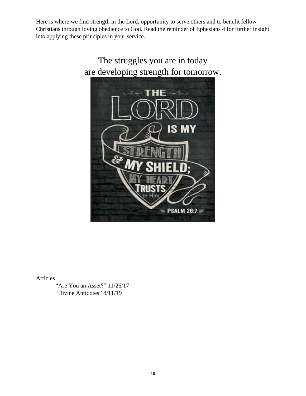Here is where we find strength in the Lord, opportunity to serve others and to benefit fellow Christians through loving obedience to God. Read the reminder of Ephesians 4 for further insight into applying these principles in your service.



Articles

"Are You an Asset?" 11/26/17 "Divine Antidotes" 8/11/19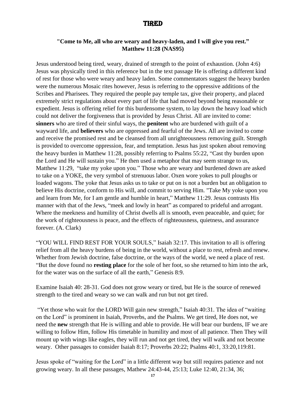## **TIRED**

#### **"Come to Me, all who are weary and heavy-laden, and I will give you rest." Matthew 11:28 (NAS95)**

Jesus understood being tired, weary, drained of strength to the point of exhaustion. (John 4:6) Jesus was physically tired in this reference but in the text passage He is offering a different kind of rest for those who were weary and heavy laden. Some commentators suggest the heavy burden were the numerous Mosaic rites however, Jesus is referring to the oppressive additions of the Scribes and Pharisees. They required the people pay temple tax, give their property, and placed extremely strict regulations about every part of life that had moved beyond being reasonable or expedient. Jesus is offering relief for this burdensome system, to lay down the heavy load which could not deliver the forgiveness that is provided by Jesus Christ. All are invited to come: **sinners** who are tired of their sinful ways, the **penitent** who are burdened with guilt of a wayward life, and **believers** who are oppressed and fearful of the Jews. All are invited to come and receive the promised rest and be cleansed from all unrighteousness removing guilt. Strength is provided to overcome oppression, fear, and temptation. Jesus has just spoken about removing the heavy burden in Matthew 11:28, possibly referring to Psalms 55:22, "Cast thy burden upon the Lord and He will sustain you." He then used a metaphor that may seem strange to us, Matthew 11:29, "take my yoke upon you." Those who are weary and burdened down are asked to take on a YOKE, the very symbol of strenuous labor. Oxen wore yokes to pull ploughs or loaded wagons. The yoke that Jesus asks us to take or put on is not a burden but an obligation to believe His doctrine, conform to His will, and commit to serving Him. "Take My yoke upon you and learn from Me, for I am gentle and humble in heart," Matthew 11:29. Jesus contrasts His manner with that of the Jews, "meek and lowly in heart" as compared to prideful and arrogant. Where the meekness and humility of Christ dwells all is smooth, even peaceable, and quiet; for the work of righteousness is peace, and the effects of righteousness, quietness, and assurance forever. (A. Clark)

"YOU WILL FIND REST FOR YOUR SOULS," Isaiah 32:17. This invitation to all is offering relief from all the heavy burdens of being in the world, without a place to rest, refresh and renew. Whether from Jewish doctrine, false doctrine, or the ways of the world, we need a place of rest. "But the dove found no **resting place** for the sole of her foot, so she returned to him into the ark, for the water was on the surface of all the earth," Genesis 8:9.

Examine Isaiah 40: 28-31. God does not grow weary or tired, but He is the source of renewed strength to the tired and weary so we can walk and run but not get tired.

"Yet those who wait for the LORD Will gain new strength," Isaiah 40:31. The idea of "waiting on the Lord" is prominent in Isaiah, Proverbs, and the Psalms. We get tired, He does not, we need the **new** strength that He is willing and able to provide. He will bear our burdens, IF we are willing to follow Him, follow His timetable in humility and most of all patience. Then They will mount up with wings like eagles, they will run and not get tired, they will walk and not become weary. Other passages to consider Isaiah 8:17; Proverbs 20:22; Psalms 40:1, 33:20,119:81.

Jesus spoke of "waiting for the Lord" in a little different way but still requires patience and not growing weary. In all these passages, Mathew 24:43-44, 25:13; Luke 12:40, 21:34, 36;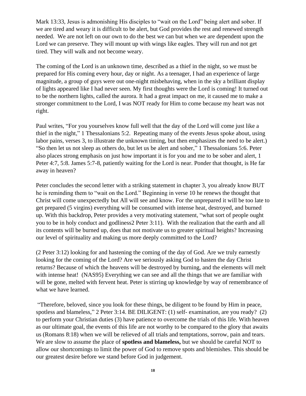Mark 13:33, Jesus is admonishing His disciples to "wait on the Lord" being alert and sober. If we are tired and weary it is difficult to be alert, but God provides the rest and renewed strength needed. We are not left on our own to do the best we can but when we are dependent upon the Lord we can preserve. They will mount up with wings like eagles. They will run and not get tired. They will walk and not become weary.

The coming of the Lord is an unknown time, described as a thief in the night, so we must be prepared for His coming every hour, day or night. As a teenager, I had an experience of large magnitude, a group of guys were out one-night misbehaving, when in the sky a brilliant display of lights appeared like I had never seen. My first thoughts were the Lord is coming! It turned out to be the northern lights, called the aurora. It had a great impact on me, it caused me to make a stronger commitment to the Lord, I was NOT ready for Him to come because my heart was not right.

Paul writes, "For you yourselves know full well that the day of the Lord will come just like a thief in the night," 1 Thessalonians 5:2. Repeating many of the events Jesus spoke about, using labor pains, verses 3, to illustrate the unknown timing, but then emphasizes the need to be alert.) "So then let us not sleep as others do, but let us be alert and sober," 1 Thessalonians 5:6. Peter also places strong emphasis on just how important it is for you and me to be sober and alert, 1 Peter 4:7, 5:8. James 5:7-8, patiently waiting for the Lord is near. Ponder that thought, is He far away in heaven?

Peter concludes the second letter with a striking statement in chapter 3, you already know BUT he is reminding them to "wait on the Lord." Beginning in verse 10 he renews the thought that Christ will come unexpectedly but All will see and know. For the unprepared it will be too late to get prepared (5 virgins) everything will be consumed with intense heat, destroyed, and burned up. With this backdrop, Peter provides a very motivating statement, "what sort of people ought you to be in holy conduct and godliness2 Peter 3:11). With the realization that the earth and all its contents will be burned up, does that not motivate us to greater spiritual heights? Increasing our level of spirituality and making us more deeply committed to the Lord?

(2 Peter 3:12) looking for and hastening the coming of the day of God. Are we truly earnestly looking for the coming of the Lord? Are we seriously asking God to hasten the day Christ returns? Because of which the heavens will be destroyed by burning, and the elements will melt with intense heat! (NAS95) Everything we can see and all the things that we are familiar with will be gone, melted with fervent heat. Peter is stirring up knowledge by way of remembrance of what we have learned.

"Therefore, beloved, since you look for these things, be diligent to be found by Him in peace, spotless and blameless," 2 Peter 3:14. BE DILIGENT: (1) self- examination, are you ready? (2) to perform your Christian duties (3) have patience to overcome the trials of this life. With heaven as our ultimate goal, the events of this life are not worthy to be compared to the glory that awaits us (Romans 8:18) when we will be relieved of all trials and temptations, sorrow, pain and tears. We are slow to assume the place of **spotless and blameless,** but we should be careful NOT to allow our shortcomings to limit the power of God to remove spots and blemishes. This should be our greatest desire before we stand before God in judgement.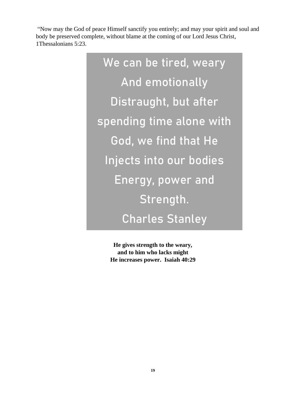"Now may the God of peace Himself sanctify you entirely; and may your spirit and soul and body be preserved complete, without blame at the coming of our Lord Jesus Christ, 1Thessalonians 5:23.

> We can be tired, weary And emotionally Distraught, but after spending time alone with God, we find that He Injects into our bodies Energy, power and Strength. Charles Stanley

> > **He gives strength to the weary, and to him who lacks might He increases power. Isaiah 40:29**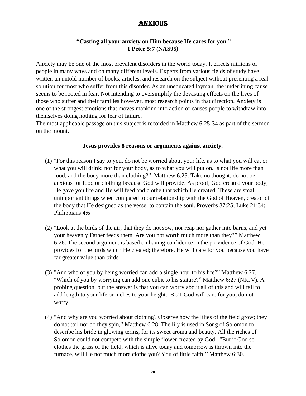## **ANXIOUS**

#### **"Casting all your anxiety on Him because He cares for you." 1 Peter 5:7 (NAS95)**

Anxiety may be one of the most prevalent disorders in the world today. It effects millions of people in many ways and on many different levels. Experts from various fields of study have written an untold number of books, articles, and research on the subject without presenting a real solution for most who suffer from this disorder. As an uneducated layman, the underlining cause seems to be rooted in fear. Not intending to oversimplify the devasting effects on the lives of those who suffer and their families however, most research points in that direction. Anxiety is one of the strongest emotions that moves mankind into action or causes people to withdraw into themselves doing nothing for fear of failure.

The most applicable passage on this subject is recorded in Matthew 6:25-34 as part of the sermon on the mount.

#### **Jesus provides 8 reasons or arguments against anxiety.**

- (1) "For this reason I say to you, do not be worried about your life, as to what you will eat or what you will drink; nor for your body, as to what you will put on. Is not life more than food, and the body more than clothing?" Matthew 6:25. Take no thought, do not be anxious for food or clothing because God will provide. As proof, God created your body, He gave you life and He will feed and clothe that which He created. These are small unimportant things when compared to our relationship with the God of Heaven, creator of the body that He designed as the vessel to contain the soul. Proverbs 37:25; Luke 21:34; Philippians 4:6
- (2) "Look at the birds of the air, that they do not sow, nor reap nor gather into barns, and yet your heavenly Father feeds them. Are you not worth much more than they?" Matthew 6:26. The second argument is based on having confidence in the providence of God. He provides for the birds which He created; therefore, He will care for you because you have far greater value than birds.
- (3) "And who of you by being worried can add a single hour to his life?" Matthew 6:27. "Which of you by worrying can add one cubit to his stature?" Matthew 6:27 (NKJV). A probing question, but the answer is that you can worry about all of this and will fail to add length to your life or inches to your height. BUT God will care for you, do not worry.
- (4) "And why are you worried about clothing? Observe how the lilies of the field grow; they do not toil nor do they spin," Matthew 6:28. The lily is used in Song of Solomon to describe his bride in glowing terms, for its sweet aroma and beauty. All the riches of Solomon could not compete with the simple flower created by God. "But if God so clothes the grass of the field, which is alive today and tomorrow is thrown into the furnace, will He not much more clothe you? You of little faith!" Matthew 6:30.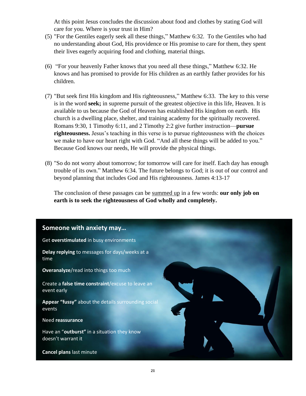At this point Jesus concludes the discussion about food and clothes by stating God will care for you. Where is your trust in Him?

- (5) "For the Gentiles eagerly seek all these things," Matthew 6:32. To the Gentiles who had no understanding about God, His providence or His promise to care for them, they spent their lives eagerly acquiring food and clothing, material things.
- (6) "For your heavenly Father knows that you need all these things," Matthew 6:32. He knows and has promised to provide for His children as an earthly father provides for his children.
- (7) "But seek first His kingdom and His righteousness," Matthew 6:33. The key to this verse is in the word **seek;** in supreme pursuit of the greatest objective in this life, Heaven. It is available to us because the God of Heaven has established His kingdom on earth. His church is a dwelling place, shelter, and training academy for the spiritually recovered. Romans 9:30, 1 Timothy 6:11, and 2 Timothy 2:2 give further instruction—**pursue righteousness.** Jesus's teaching in this verse is to pursue righteousness with the choices we make to have our heart right with God. "And all these things will be added to you." Because God knows our needs, He will provide the physical things.
- (8) "So do not worry about tomorrow; for tomorrow will care for itself. Each day has enough trouble of its own." Matthew 6:34. The future belongs to God; it is out of our control and beyond planning that includes God and His righteousness. James 4:13-17

The conclusion of these passages can be summed up in a few words: **our only job on earth is to seek the righteousness of God wholly and completely.**

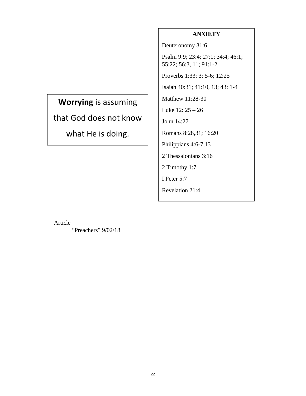## **ANXIETY**

Deuteronomy 31:6

Psalm 9:9; 23:4; 27:1; 34:4; 46:1; 55:22; 56:3, 11; 91:1-2

Proverbs 1:33; 3: 5-6; 12:25

Isaiah 40:31; 41:10, 13; 43: 1-4

Matthew 11:28-30

Luke 12: 25 – 26

John 14:27

Romans 8:28,31; 16:20

Philippians 4:6-7,13

2 Thessalonians 3:16

2 Timothy 1:7

I Peter 5:7

Revelation 21:4

**Worrying** is assuming that God does not know what He is doing.

Article

"Preachers" 9/02/18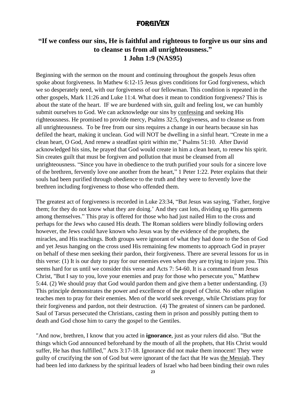## **FORGIVEN**

## **"If we confess our sins, He is faithful and righteous to forgive us our sins and to cleanse us from all unrighteousness." 1 John 1:9 (NAS95)**

Beginning with the sermon on the mount and continuing throughout the gospels Jesus often spoke about forgiveness. In Mathew 6:12-15 Jesus gives conditions for God forgiveness, which we so desperately need, with our forgiveness of our fellowman. This condition is repeated in the other gospels, Mark 11:26 and Luke 11:4. What does it mean to condition forgiveness? This is about the state of the heart. IF we are burdened with sin, guilt and feeling lost, we can humbly submit ourselves to God. We can acknowledge our sins by confessing and seeking His righteousness. He promised to provide mercy, Psalms 32:5, forgiveness, and to cleanse us from all unrighteousness. To be free from our sins requires a change in our hearts because sin has defiled the heart, making it unclean. God will NOT be dwelling in a sinful heart. "Create in me a clean heart, O God, And renew a steadfast spirit within me," Psalms 51:10. After David acknowledged his sins, he prayed that God would create in him a clean heart, to renew his spirit. Sin creates guilt that must be forgiven and pollution that must be cleansed from all unrighteousness. "Since you have in obedience to the truth purified your souls for a sincere love of the brethren, fervently love one another from the heart," 1 Peter 1:22. Peter explains that their souls had been purified through obedience to the truth and they were to fervently love the brethren including forgiveness to those who offended them.

The greatest act of forgiveness is recorded in Luke 23:34, "But Jesus was saying, 'Father, forgive them; for they do not know what they are doing.' And they cast lots, dividing up His garments among themselves." This pray is offered for those who had just nailed Him to the cross and perhaps for the Jews who caused His death. The Roman soldiers were blindly following orders however, the Jews could have known who Jesus was by the evidence of the prophets, the miracles, and His teachings. Both groups were ignorant of what they had done to the Son of God and yet Jesus hanging on the cross used His remaining few moments to approach God in prayer on behalf of these men seeking their pardon, their forgiveness. There are several lessons for us in this verse: (1) It is our duty to pray for our enemies even when they are trying to injure you. This seems hard for us until we consider this verse and Acts 7: 54-60. It is a command from Jesus Christ, "But I say to you, love your enemies and pray for those who persecute you," Matthew 5:44. (2) We should pray that God would pardon them and give them a better understanding. (3) This principle demonstrates the power and excellence of the gospel of Christ. No other religion teaches men to pray for their enemies. Men of the world seek revenge, while Christians pray for their forgiveness and pardon, not their destruction. (4) The greatest of sinners can be pardoned. Saul of Tarsus persecuted the Christians, casting them in prison and possibly putting them to death and God chose him to carry the gospel to the Gentiles.

"And now, brethren, I know that you acted in **ignorance**, just as your rulers did also. "But the things which God announced beforehand by the mouth of all the prophets, that His Christ would suffer, He has thus fulfilled," Acts 3:17-18. Ignorance did not make them innocent! They were guilty of crucifying the son of God but were ignorant of the fact that He was the Messiah. They had been led into darkness by the spiritual leaders of Israel who had been binding their own rules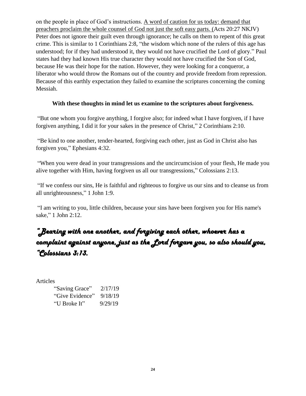on the people in place of God's instructions. A word of caution for us today: demand that preachers proclaim the whole counsel of God not just the soft easy parts. (Acts 20:27 NKJV) Peter does not ignore their guilt even through ignorance; he calls on them to repent of this great crime. This is similar to 1 Corinthians 2:8, "the wisdom which none of the rulers of this age has understood; for if they had understood it, they would not have crucified the Lord of glory." Paul states had they had known His true character they would not have crucified the Son of God, because He was their hope for the nation. However, they were looking for a conqueror, a liberator who would throw the Romans out of the country and provide freedom from repression. Because of this earthly expectation they failed to examine the scriptures concerning the coming Messiah.

#### **With these thoughts in mind let us examine to the scriptures about forgiveness.**

"But one whom you forgive anything, I forgive also; for indeed what I have forgiven, if I have forgiven anything, I did it for your sakes in the presence of Christ," 2 Corinthians 2:10.

"Be kind to one another, tender-hearted, forgiving each other, just as God in Christ also has forgiven you," Ephesians 4:32.

"When you were dead in your transgressions and the uncircumcision of your flesh, He made you alive together with Him, having forgiven us all our transgressions," Colossians 2:13.

"If we confess our sins, He is faithful and righteous to forgive us our sins and to cleanse us from all unrighteousness," 1 John 1:9.

"I am writing to you, little children, because your sins have been forgiven you for His name's sake," 1 John 2:12.

## *"Bearing with one another, and forgiving each other, whoever has a complaint against anyone, just as the Lord forgave you, so also should you, "Colossians 3:13.*

Articles

| "Saving Grace"  | 2/17/19 |
|-----------------|---------|
| "Give Evidence" | 9/18/19 |
| "U Broke It"    | 9/29/19 |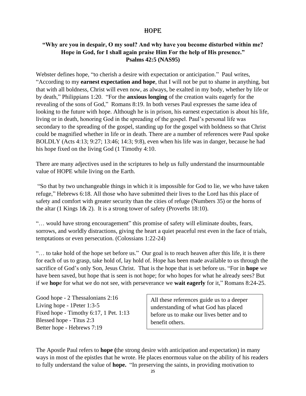#### **HOPE**

#### **"Why are you in despair, O my soul? And why have you become disturbed within me? Hope in God, for I shall again praise Him For the help of His presence." Psalms 42:5 (NAS95)**

Webster defines hope, "to cherish a desire with expectation or anticipation." Paul writes, "According to my **earnest expectation and hope**, that I will not be put to shame in anything, but that with all boldness, Christ will even now, as always, be exalted in my body, whether by life or by death," Philippians 1:20. "For the **anxious longing** of the creation waits eagerly for the revealing of the sons of God," Romans 8:19. In both verses Paul expresses the same idea of looking to the future with hope. Although he is in prison, his earnest expectation is about his life, living or in death, honoring God in the spreading of the gospel. Paul's personal life was secondary to the spreading of the gospel, standing up for the gospel with boldness so that Christ could be magnified whether in life or in death. There are a number of references were Paul spoke BOLDLY (Acts 4:13; 9:27; 13:46; 14:3; 9:8), even when his life was in danger, because he had his hope fixed on the living God (1 Timothy 4:10.

There are many adjectives used in the scriptures to help us fully understand the insurmountable value of HOPE while living on the Earth.

"So that by two unchangeable things in which it is impossible for God to lie, we who have taken refuge," Hebrews 6:18. All those who have submitted their lives to the Lord has this place of safety and comfort with greater security than the cities of refuge (Numbers 35) or the horns of the altar (1 Kings  $1\& 2$ ). It is a strong tower of safety (Proverbs 18:10).

"… would have strong encouragement" this promise of safety will eliminate doubts, fears, sorrows, and worldly distractions, giving the heart a quiet peaceful rest even in the face of trials, temptations or even persecution. (Colossians 1:22-24)

"… to take hold of the hope set before us." Our goal is to reach heaven after this life, it is there for each of us to grasp, take hold of, lay hold of. Hope has been made available to us through the sacrifice of God's only Son, Jesus Christ. That is the hope that is set before us. "For in **hope** we have been saved, but hope that is seen is not hope; for who hopes for what he already sees? But if we **hop**e for what we do not see, with perseverance we **wait eagerly** for it," Romans 8:24-25.

Good hope - 2 Thessalonians 2:16 Living hope - 1Peter 1:3-5 Fixed hope - Timothy 6:17, 1 Pet. 1:13 Blessed hope - Titus 2:3 Better hope - Hebrews 7:19

All these references guide us to a deeper understanding of what God has placed before us to make our lives better and to benefit others.

The Apostle Paul refers to **hope (**the strong desire with anticipation and expectation) in many ways in most of the epistles that he wrote. He places enormous value on the ability of his readers to fully understand the value of **hope.** "In preserving the saints, in providing motivation to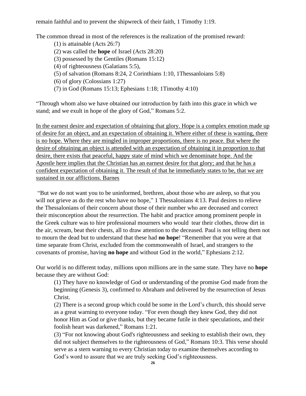remain faithful and to prevent the shipwreck of their faith, 1 Timothy 1:19.

The common thread in most of the references is the realization of the promised reward:

- (1) is attainable (Acts 26:7) (2) was called the **hope** of Israel (Acts 28:20) (3) possessed by the Gentiles (Romans 15:12) (4) of righteousness (Galatians 5:5), (5) of salvation (Romans 8:24, 2 Corinthians 1:10, 1Thessanloians 5:8) (6) of glory (Colossians 1:27) (7) in God (Romans 15:13; Ephesians 1:18; 1Timothy 4:10)
- "Through whom also we have obtained our introduction by faith into this grace in which we

stand; and we exult in hope of the glory of God," Romans 5:2.

In the earnest desire and expectation of obtaining that glory. Hope is a complex emotion made up of desire for an object, and an expectation of obtaining it. Where either of these is wanting, there is no hope. Where they are mingled in improper proportions, there is no peace. But where the desire of obtaining an object is attended with an expectation of obtaining it in proportion to that desire, there exists that peaceful, happy state of mind which we denominate hope. And the Apostle here implies that the Christian has an earnest desire for that glory; and that he has a confident expectation of obtaining it. The result of that he immediately states to be, that we are sustained in our afflictions. Barnes

"But we do not want you to be uninformed, brethren, about those who are asleep, so that you will not grieve as do the rest who have no hope," 1 Thessalonians 4:13. Paul desires to relieve the Thessalonians of their concern about those of their number who are deceased and correct their misconception about the resurrection. The habit and practice among prominent people in the Greek culture was to hire professional mourners who would tear their clothes, throw dirt in the air, scream, beat their chests, all to draw attention to the deceased. Paul is not telling them not to mourn the dead but to understand that these had **no hope**! "Remember that you were at that time separate from Christ, excluded from the commonwealth of Israel, and strangers to the covenants of promise, having **no hope** and without God in the world," Ephesians 2:12.

Our world is no different today, millions upon millions are in the same state. They have no **hope** because they are without God:

(1) They have no knowledge of God or understanding of the promise God made from the beginning (Genesis 3), confirmed to Abraham and delivered by the resurrection of Jesus Christ.

(2) There is a second group which could be some in the Lord's church, this should serve as a great warning to everyone today. "For even though they knew God, they did not honor Him as God or give thanks, but they became futile in their speculations, and their foolish heart was darkened," Romans 1:21.

(3) "For not knowing about God's righteousness and seeking to establish their own, they did not subject themselves to the righteousness of God," Romans 10:3. This verse should serve as a stern warning to every Christian today to examine themselves according to God's word to assure that we are truly seeking God's righteousness.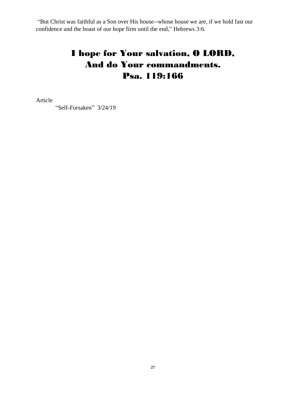"But Christ was faithful as a Son over His house--whose house we are, if we hold fast our confidence and the boast of our hope firm until the end," Hebrews 3:6.

## I hope for Your salvation, O LORD, And do Your commandments. Psa. 119:166

Article

"Self-Forsaken" 3/24/19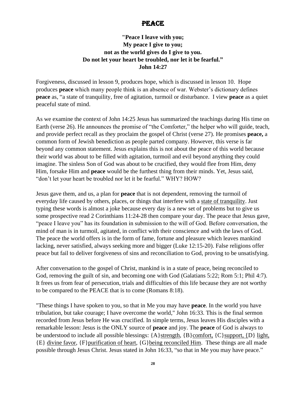## PEACE.

## **"Peace I leave with you; My peace I give to you; not as the world gives do I give to you. Do not let your heart be troubled, nor let it be fearful." John 14:27**

Forgiveness, discussed in lesson 9, produces hope, which is discussed in lesson 10. Hope produces **peace** which many people think is an absence of war. Webster's dictionary defines **peace** as, "a state of tranquility, free of agitation, turmoil or disturbance. I view **peace** as a quiet peaceful state of mind.

As we examine the context of John 14:25 Jesus has summarized the teachings during His time on Earth (verse 26). He announces the promise of "the Comforter," the helper who will guide, teach, and provide perfect recall as they proclaim the gospel of Christ (verse 27). He promises **peace,** a common form of Jewish benediction as people parted company. However, this verse is far beyond any common statement. Jesus explains this is not about the peace of this world because their world was about to be filled with agitation, turmoil and evil beyond anything they could imagine. The sinless Son of God was about to be crucified, they would flee from Him, deny Him, forsake Him and **peace** would be the furthest thing from their minds. Yet, Jesus said, "don't let your heart be troubled nor let it be fearful." WHY? HOW?

Jesus gave them, and us, a plan for **peace** that is not dependent, removing the turmoil of everyday life caused by others, places, or things that interfere with a state of tranquility. Just typing these words is almost a joke because every day is a new set of problems but to give us some prospective read 2 Corinthians 11:24-28 then compare your day. The peace that Jesus gave, "peace I leave you" has its foundation in submission to the will of God. Before conversation, the mind of man is in turmoil, agitated, in conflict with their conscience and with the laws of God. The peace the world offers is in the form of fame, fortune and pleasure which leaves mankind lacking, never satisfied, always seeking more and bigger (Luke 12:15-20). False religions offer peace but fail to deliver forgiveness of sins and reconciliation to God, proving to be unsatisfying.

After conversation to the gospel of Christ, mankind is in a state of peace, being reconciled to God, removing the guilt of sin, and becoming one with God (Galatians 5:22; Rom 5:1; Phil 4:7). It frees us from fear of persecution, trials and difficulties of this life because they are not worthy to be compared to the PEACE that is to come (Romans 8:18).

"These things I have spoken to you, so that in Me you may have **peace**. In the world you have tribulation, but take courage; I have overcome the world," John 16:33. This is the final sermon recorded from Jesus before He was crucified. In simple terms, Jesus leaves His disciples with a remarkable lesson: Jesus is the ONLY source of **peace** and joy. The **peace** of God is always to be understood to include all possible blessings:  ${A}$  strength,  ${B}$  comfort,  ${C}$  support,  ${D}$  light, {E} divine favor, {F}purification of heart, {G}being reconciled Him. These things are all made possible through Jesus Christ. Jesus stated in John 16:33, "so that in Me you may have peace."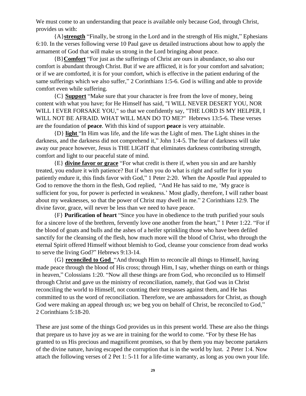We must come to an understanding that peace is available only because God, through Christ, provides us with:

{A}**strength** "Finally, be strong in the Lord and in the strength of His might," Ephesians 6:10. In the verses following verse 10 Paul gave us detailed instructions about how to apply the armament of God that will make us strong in the Lord bringing about peace.

{B}**Comfort** "For just as the sufferings of Christ are ours in abundance, so also our comfort is abundant through Christ. But if we are afflicted, it is for your comfort and salvation; or if we are comforted, it is for your comfort, which is effective in the patient enduring of the same sufferings which we also suffer," 2 Corinthians 1:5-6. God is willing and able to provide comfort even while suffering.

{C} **Support** "Make sure that your character is free from the love of money, being content with what you have; for He Himself has said, "I WILL NEVER DESERT YOU, NOR WILL I EVER FORSAKE YOU," so that we confidently say, "THE LORD IS MY HELPER, I WILL NOT BE AFRAID. WHAT WILL MAN DO TO ME?" Hebrews 13:5-6. These verses are the foundation of **peace**. With this kind of support **peace** is very attainable.

{D} **light** "In Him was life, and the life was the Light of men. The Light shines in the darkness, and the darkness did not comprehend it," John 1:4-5. The fear of darkness will take away our peace however, Jesus is THE LIGHT that eliminates darkness contributing strength, comfort and light to our peaceful state of mind.

{E} **divine favor or grace** "For what credit is there if, when you sin and are harshly treated, you endure it with patience? But if when you do what is right and suffer for it you patiently endure it, this finds favor with God," 1 Peter 2:20. When the Apostle Paul appealed to God to remove the thorn in the flesh, God replied, "And He has said to me, 'My grace is sufficient for you, for power is perfected in weakness.' Most gladly, therefore, I will rather boast about my weaknesses, so that the power of Christ may dwell in me." 2 Corinthians 12:9. The divine favor, grace, will never be less than we need to have peace.

{F} **Purification of heart** "Since you have in obedience to the truth purified your souls for a sincere love of the brethren, fervently love one another from the heart," 1 Peter 1:22. "For if the blood of goats and bulls and the ashes of a heifer sprinkling those who have been defiled sanctify for the cleansing of the flesh, how much more will the blood of Christ, who through the eternal Spirit offered Himself without blemish to God, cleanse your conscience from dead works to serve the living God?" Hebrews 9:13-14.

{G} **reconciled to God** "And through Him to reconcile all things to Himself, having made peace through the blood of His cross; through Him, I say, whether things on earth or things in heaven," Colossians 1:20. "Now all these things are from God, who reconciled us to Himself through Christ and gave us the ministry of reconciliation, namely, that God was in Christ reconciling the world to Himself, not counting their trespasses against them, and He has committed to us the word of reconciliation. Therefore, we are ambassadors for Christ, as though God were making an appeal through us; we beg you on behalf of Christ, be reconciled to God," 2 Corinthians 5:18-20.

These are just some of the things God provides us in this present world. These are also the things that prepare us to have joy as we are in training for the world to come. "For by these He has granted to us His precious and magnificent promises, so that by them you may become partakers of the divine nature, having escaped the corruption that is in the world by lust. 2 Peter 1:4. Now attach the following verses of 2 Pet 1: 5-11 for a life-time warranty, as long as you own your life.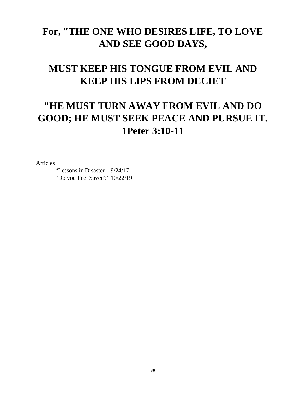## **For, "THE ONE WHO DESIRES LIFE, TO LOVE AND SEE GOOD DAYS,**

# **MUST KEEP HIS TONGUE FROM EVIL AND KEEP HIS LIPS FROM DECIET**

# **"HE MUST TURN AWAY FROM EVIL AND DO GOOD; HE MUST SEEK PEACE AND PURSUE IT. 1Peter 3:10-11**

Articles

"Lessons in Disaster 9/24/17 "Do you Feel Saved?" 10/22/19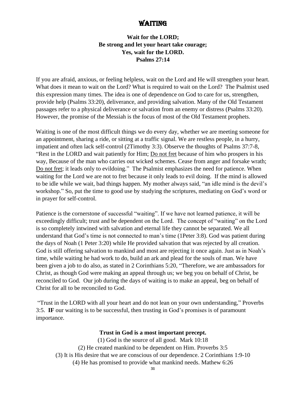## WAITING

#### **Wait for the LORD; Be strong and let your heart take courage; Yes, wait for the LORD. Psalms 27:14**

If you are afraid, anxious, or feeling helpless, wait on the Lord and He will strengthen your heart. What does it mean to wait on the Lord? What is required to wait on the Lord? The Psalmist used this expression many times. The idea is one of dependence on God to care for us, strengthen, provide help (Psalms 33:20), deliverance, and providing salvation. Many of the Old Testament passages refer to a physical deliverance or salvation from an enemy or distress (Psalms 33:20). However, the promise of the Messiah is the focus of most of the Old Testament prophets.

Waiting is one of the most difficult things we do every day, whether we are meeting someone for an appointment, sharing a ride, or sitting at a traffic signal. We are restless people, in a hurry, impatient and often lack self-control (2Timothy 3:3). Observe the thoughts of Psalms 37:7-8, "Rest in the LORD and wait patiently for Him; Do not fret because of him who prospers in his way, Because of the man who carries out wicked schemes. Cease from anger and forsake wrath; Do not fret; it leads only to evildoing." The Psalmist emphasizes the need for patience. When waiting for the Lord we are not to fret because it only leads to evil doing. If the mind is allowed to be idle while we wait, bad things happen. My mother always said, "an idle mind is the devil's workshop." So, put the time to good use by studying the scriptures, mediating on God's word or in prayer for self-control.

Patience is the cornerstone of successful "waiting". If we have not learned patience, it will be exceedingly difficult; trust and be dependent on the Lord. The concept of "waiting" on the Lord is so completely intwined with salvation and eternal life they cannot be separated. We all understand that God's time is not connected to man's time (1Peter 3:8). God was patient during the days of Noah (1 Peter 3:20) while He provided salvation that was rejected by all creation. God is still offering salvation to mankind and most are rejecting it once again. Just as in Noah's time, while waiting he had work to do, build an ark and plead for the souls of man. We have been given a job to do also, as stated in 2 Corinthians 5:20, "Therefore, we are ambassadors for Christ, as though God were making an appeal through us; we beg you on behalf of Christ, be reconciled to God. Our job during the days of waiting is to make an appeal, beg on behalf of Christ for all to be reconciled to God.

"Trust in the LORD with all your heart and do not lean on your own understanding," Proverbs 3:5. **IF** our waiting is to be successful, then trusting in God's promises is of paramount importance.

#### **Trust in God is a most important precept.**

(1) God is the source of all good. Mark 10:18 (2) He created mankind to be dependent on Him. Proverbs 3:5 (3) It is His desire that we are conscious of our dependence. 2 Corinthians 1:9-10 (4) He has promised to provide what mankind needs. Mathew 6:26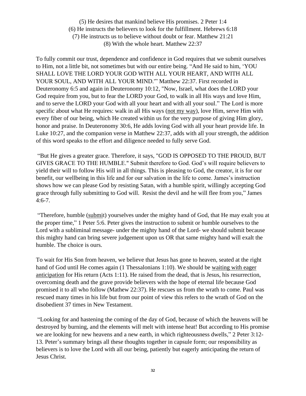(5) He desires that mankind believe His promises. 2 Peter 1:4 (6) He instructs the believers to look for the fulfillment. Hebrews 6:18 (7) He instructs us to believe without doubt or fear. Matthew 21:21 (8) With the whole heart. Matthew 22:37

To fully commit our trust, dependence and confidence in God requires that we submit ourselves to Him, not a little bit, not sometimes but with our entire being. "And He said to him, 'YOU SHALL LOVE THE LORD YOUR GOD WITH ALL YOUR HEART, AND WITH ALL YOUR SOUL, AND WITH ALL YOUR MIND.'" Matthew 22:37. First recorded in Deuteronomy 6:5 and again in Deuteronomy 10:12, "Now, Israel, what does the LORD your God require from you, but to fear the LORD your God, to walk in all His ways and love Him, and to serve the LORD your God with all your heart and with all your soul." The Lord is more specific about what He requires: walk in all His ways (not my way), love Him, serve Him with every fiber of our being, which He created within us for the very purpose of giving Him glory, honor and praise. In Deuteronomy 30:6, He adds loving God with all your heart provide life. In Luke 10:27, and the companion verse in Matthew 22:37, adds with all your strength, the addition of this word speaks to the effort and diligence needed to fully serve God.

"But He gives a greater grace. Therefore, it says, "GOD IS OPPOSED TO THE PROUD, BUT GIVES GRACE TO THE HUMBLE." Submit therefore to God. God's will require believers to yield their will to follow His will in all things. This is pleasing to God, the creator, it is for our benefit, our wellbeing in this life and for our salvation in the life to come. James's instruction shows how we can please God by resisting Satan, with a humble spirit, willingly accepting God grace through fully submitting to God will. Resist the devil and he will flee from you," James 4:6-7.

"Therefore, humble (submit) yourselves under the mighty hand of God, that He may exalt you at the proper time," 1 Peter 5:6. Peter gives the instruction to submit or humble ourselves to the Lord with a subliminal message- under the mighty hand of the Lord- we should submit because this mighty hand can bring severe judgement upon us OR that same mighty hand will exalt the humble. The choice is ours.

To wait for His Son from heaven, we believe that Jesus has gone to heaven, seated at the right hand of God until He comes again (1 Thessalonians 1:10). We should be waiting with eager anticipation for His return (Acts 1:11). He raised from the dead, that is Jesus, his resurrection, overcoming death and the grave provide believers with the hope of eternal life because God promised it to all who follow (Mathew 22:37). He rescues us from the wrath to come. Paul was rescued many times in his life but from our point of view this refers to the wrath of God on the disobedient 37 times in New Testament.

"Looking for and hastening the coming of the day of God, because of which the heavens will be destroyed by burning, and the elements will melt with intense heat! But according to His promise we are looking for new heavens and a new earth, in which righteousness dwells," 2 Peter 3:12- 13. Peter's summary brings all these thoughts together in capsule form; our responsibility as believers is to love the Lord with all our being, patiently but eagerly anticipating the return of Jesus Christ.